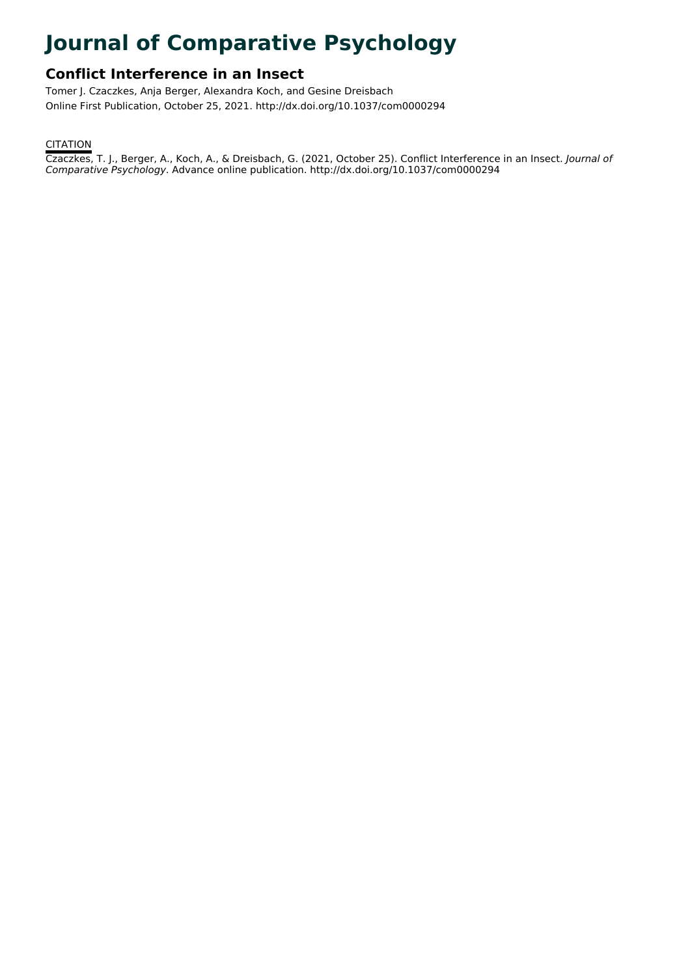# **Journal of Comparative Psychology**

## **Conflict Interference in an Insect**

Tomer J. Czaczkes, Anja Berger, Alexandra Koch, and Gesine Dreisbach Online First Publication, October 25, 2021. http://dx.doi.org/10.1037/com0000294

### **CITATION**

Czaczkes, T. J., Berger, A., Koch, A., & Dreisbach, G. (2021, October 25). Conflict Interference in an Insect. Journal of Comparative Psychology. Advance online publication. http://dx.doi.org/10.1037/com0000294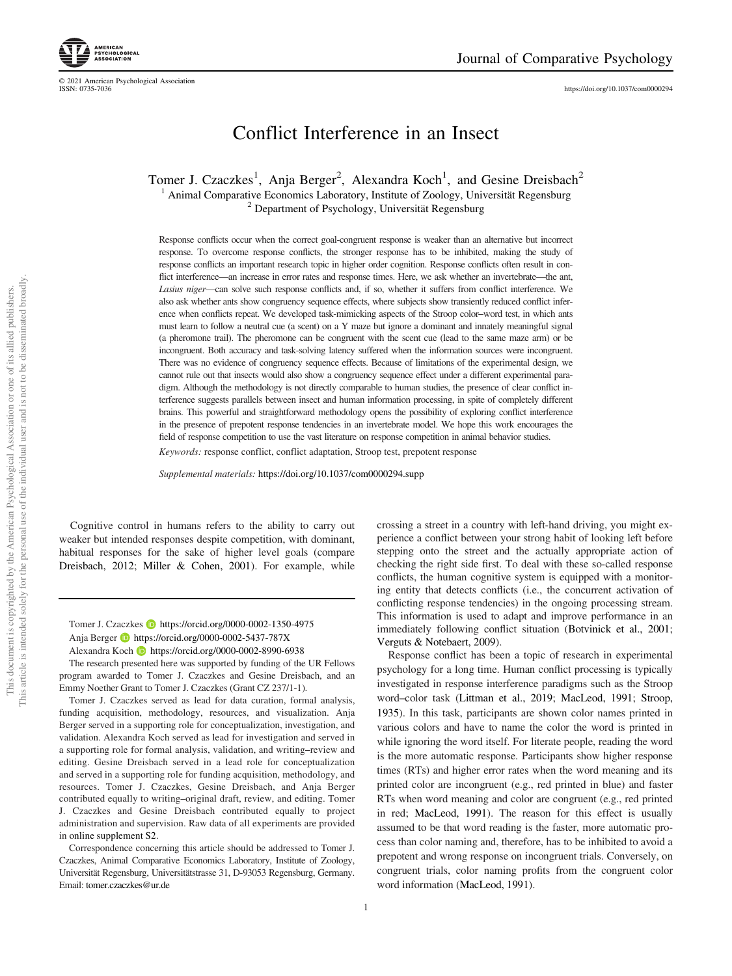<https://doi.org/10.1037/com0000294>

# Conflict Interference in an Insect

Tomer J. Czaczkes<sup>1</sup>, Anja Berger<sup>2</sup>, Alexandra Koch<sup>1</sup>, and Gesine Dreisbach<sup>2</sup>

<sup>1</sup> Animal Comparative Economics Laboratory, Institute of Zoology, Universität Regensburg <sup>2</sup> Department of Psychology, Universität Regensburg

Response conflicts occur when the correct goal-congruent response is weaker than an alternative but incorrect response. To overcome response conflicts, the stronger response has to be inhibited, making the study of response conflicts an important research topic in higher order cognition. Response conflicts often result in conflict interference—an increase in error rates and response times. Here, we ask whether an invertebrate—the ant, Lasius niger—can solve such response conflicts and, if so, whether it suffers from conflict interference. We also ask whether ants show congruency sequence effects, where subjects show transiently reduced conflict inference when conflicts repeat. We developed task-mimicking aspects of the Stroop color–word test, in which ants must learn to follow a neutral cue (a scent) on a Y maze but ignore a dominant and innately meaningful signal (a pheromone trail). The pheromone can be congruent with the scent cue (lead to the same maze arm) or be incongruent. Both accuracy and task-solving latency suffered when the information sources were incongruent. There was no evidence of congruency sequence effects. Because of limitations of the experimental design, we cannot rule out that insects would also show a congruency sequence effect under a different experimental paradigm. Although the methodology is not directly comparable to human studies, the presence of clear conflict interference suggests parallels between insect and human information processing, in spite of completely different brains. This powerful and straightforward methodology opens the possibility of exploring conflict interference in the presence of prepotent response tendencies in an invertebrate model. We hope this work encourages the field of response competition to use the vast literature on response competition in animal behavior studies.

Keywords: response conflict, conflict adaptation, Stroop test, prepotent response

Supplemental materials: <https://doi.org/10.1037/com0000294.supp>

Cognitive control in humans refers to the ability to carry out weaker but intended responses despite competition, with dominant, habitual responses for the sake of higher level goals (compare Dreisbach, 2012; Miller & Cohen, 2001). For example, while

#### Tomer J. Czaczkes **b** <https://orcid.org/0000-0002-1350-4975> Anja Berger D <https://orcid.org/0000-0002-5437-787X>

The research presented here was supported by funding of the UR Fellows program awarded to Tomer J. Czaczkes and Gesine Dreisbach, and an Emmy Noether Grant to Tomer J. Czaczkes (Grant CZ 237/1-1).

Tomer J. Czaczkes served as lead for data curation, formal analysis, funding acquisition, methodology, resources, and visualization. Anja Berger served in a supporting role for conceptualization, investigation, and validation. Alexandra Koch served as lead for investigation and served in a supporting role for formal analysis, validation, and writing–review and editing. Gesine Dreisbach served in a lead role for conceptualization and served in a supporting role for funding acquisition, methodology, and resources. Tomer J. Czaczkes, Gesine Dreisbach, and Anja Berger contributed equally to writing–original draft, review, and editing. Tomer J. Czaczkes and Gesine Dreisbach contributed equally to project administration and supervision. Raw data of all experiments are provided in [online supplement S2.](https://doi.org/10.1037/com0000294.supp)

Correspondence concerning this article should be addressed to Tomer J. Czaczkes, Animal Comparative Economics Laboratory, Institute of Zoology, Universität Regensburg, Universitätstrasse 31, D-93053 Regensburg, Germany. Email: [tomer.czaczkes@ur.de](mailto:tomer.czaczkes@ur.de)

crossing a street in a country with left-hand driving, you might experience a conflict between your strong habit of looking left before stepping onto the street and the actually appropriate action of checking the right side first. To deal with these so-called response conflicts, the human cognitive system is equipped with a monitoring entity that detects conflicts (i.e., the concurrent activation of conflicting response tendencies) in the ongoing processing stream. This information is used to adapt and improve performance in an immediately following conflict situation (Botvinick et al., 2001; Verguts & Notebaert, 2009).

Response conflict has been a topic of research in experimental psychology for a long time. Human conflict processing is typically investigated in response interference paradigms such as the Stroop word–color task (Littman et al., 2019; MacLeod, 1991; Stroop, 1935). In this task, participants are shown color names printed in various colors and have to name the color the word is printed in while ignoring the word itself. For literate people, reading the word is the more automatic response. Participants show higher response times (RTs) and higher error rates when the word meaning and its printed color are incongruent (e.g., red printed in blue) and faster RTs when word meaning and color are congruent (e.g., red printed in red; MacLeod, 1991). The reason for this effect is usually assumed to be that word reading is the faster, more automatic process than color naming and, therefore, has to be inhibited to avoid a prepotent and wrong response on incongruent trials. Conversely, on congruent trials, color naming profits from the congruent color word information (MacLeod, 1991).

© 2021 American Psychological Association

Alexandra Koch **b** <https://orcid.org/0000-0002-8990-6938>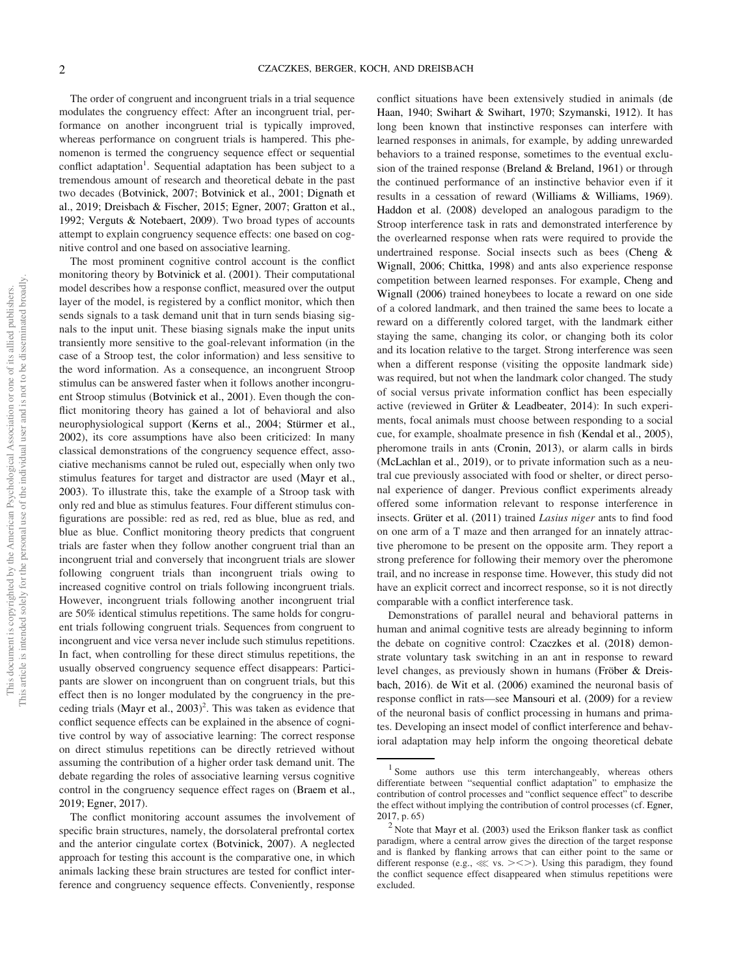The order of congruent and incongruent trials in a trial sequence modulates the congruency effect: After an incongruent trial, performance on another incongruent trial is typically improved, whereas performance on congruent trials is hampered. This phenomenon is termed the congruency sequence effect or sequential conflict adaptation<sup>1</sup>. Sequential adaptation has been subject to a tremendous amount of research and theoretical debate in the past two decades (Botvinick, 2007; Botvinick et al., 2001; Dignath et al., 2019; Dreisbach & Fischer, 2015; Egner, 2007; Gratton et al., 1992; Verguts & Notebaert, 2009). Two broad types of accounts attempt to explain congruency sequence effects: one based on cognitive control and one based on associative learning.

The most prominent cognitive control account is the conflict monitoring theory by Botvinick et al. (2001). Their computational model describes how a response conflict, measured over the output layer of the model, is registered by a conflict monitor, which then sends signals to a task demand unit that in turn sends biasing signals to the input unit. These biasing signals make the input units transiently more sensitive to the goal-relevant information (in the case of a Stroop test, the color information) and less sensitive to the word information. As a consequence, an incongruent Stroop stimulus can be answered faster when it follows another incongruent Stroop stimulus (Botvinick et al., 2001). Even though the conflict monitoring theory has gained a lot of behavioral and also neurophysiological support (Kerns et al., 2004; Stürmer et al., 2002), its core assumptions have also been criticized: In many classical demonstrations of the congruency sequence effect, associative mechanisms cannot be ruled out, especially when only two stimulus features for target and distractor are used (Mayr et al., 2003). To illustrate this, take the example of a Stroop task with only red and blue as stimulus features. Four different stimulus configurations are possible: red as red, red as blue, blue as red, and blue as blue. Conflict monitoring theory predicts that congruent trials are faster when they follow another congruent trial than an incongruent trial and conversely that incongruent trials are slower following congruent trials than incongruent trials owing to increased cognitive control on trials following incongruent trials. However, incongruent trials following another incongruent trial are 50% identical stimulus repetitions. The same holds for congruent trials following congruent trials. Sequences from congruent to incongruent and vice versa never include such stimulus repetitions. In fact, when controlling for these direct stimulus repetitions, the usually observed congruency sequence effect disappears: Participants are slower on incongruent than on congruent trials, but this effect then is no longer modulated by the congruency in the preceding trials (Mayr et al., 2003) 2 . This was taken as evidence that conflict sequence effects can be explained in the absence of cognitive control by way of associative learning: The correct response on direct stimulus repetitions can be directly retrieved without assuming the contribution of a higher order task demand unit. The debate regarding the roles of associative learning versus cognitive control in the congruency sequence effect rages on (Braem et al., 2019; Egner, 2017).

The conflict monitoring account assumes the involvement of specific brain structures, namely, the dorsolateral prefrontal cortex and the anterior cingulate cortex (Botvinick, 2007). A neglected approach for testing this account is the comparative one, in which animals lacking these brain structures are tested for conflict interference and congruency sequence effects. Conveniently, response

conflict situations have been extensively studied in animals (de Haan, 1940; Swihart & Swihart, 1970; Szymanski, 1912). It has long been known that instinctive responses can interfere with learned responses in animals, for example, by adding unrewarded behaviors to a trained response, sometimes to the eventual exclusion of the trained response (Breland & Breland, 1961) or through the continued performance of an instinctive behavior even if it results in a cessation of reward (Williams & Williams, 1969). Haddon et al. (2008) developed an analogous paradigm to the Stroop interference task in rats and demonstrated interference by the overlearned response when rats were required to provide the undertrained response. Social insects such as bees (Cheng & Wignall, 2006; Chittka, 1998) and ants also experience response competition between learned responses. For example, Cheng and Wignall (2006) trained honeybees to locate a reward on one side of a colored landmark, and then trained the same bees to locate a reward on a differently colored target, with the landmark either staying the same, changing its color, or changing both its color and its location relative to the target. Strong interference was seen when a different response (visiting the opposite landmark side) was required, but not when the landmark color changed. The study of social versus private information conflict has been especially active (reviewed in Grüter & Leadbeater, 2014): In such experiments, focal animals must choose between responding to a social cue, for example, shoalmate presence in fish (Kendal et al., 2005), pheromone trails in ants (Cronin, 2013), or alarm calls in birds (McLachlan et al., 2019), or to private information such as a neutral cue previously associated with food or shelter, or direct personal experience of danger. Previous conflict experiments already offered some information relevant to response interference in insects. Grüter et al. (2011) trained Lasius niger ants to find food on one arm of a T maze and then arranged for an innately attractive pheromone to be present on the opposite arm. They report a strong preference for following their memory over the pheromone trail, and no increase in response time. However, this study did not have an explicit correct and incorrect response, so it is not directly comparable with a conflict interference task.

Demonstrations of parallel neural and behavioral patterns in human and animal cognitive tests are already beginning to inform the debate on cognitive control: Czaczkes et al. (2018) demonstrate voluntary task switching in an ant in response to reward level changes, as previously shown in humans (Fröber & Dreisbach, 2016). de Wit et al. (2006) examined the neuronal basis of response conflict in rats—see Mansouri et al. (2009) for a review of the neuronal basis of conflict processing in humans and primates. Developing an insect model of conflict interference and behavioral adaptation may help inform the ongoing theoretical debate

<sup>&</sup>lt;sup>1</sup> Some authors use this term interchangeably, whereas others differentiate between "sequential conflict adaptation" to emphasize the contribution of control processes and "conflict sequence effect" to describe the effect without implying the contribution of control processes (cf. Egner, 2017, p. 65)

<sup>&</sup>lt;sup>2</sup> Note that Mayr et al. (2003) used the Erikson flanker task as conflict paradigm, where a central arrow gives the direction of the target response and is flanked by flanking arrows that can either point to the same or different response (e.g.,  $\ll$  vs. > < > ). Using this paradigm, they found the conflict sequence effect disappeared when stimulus repetitions were excluded.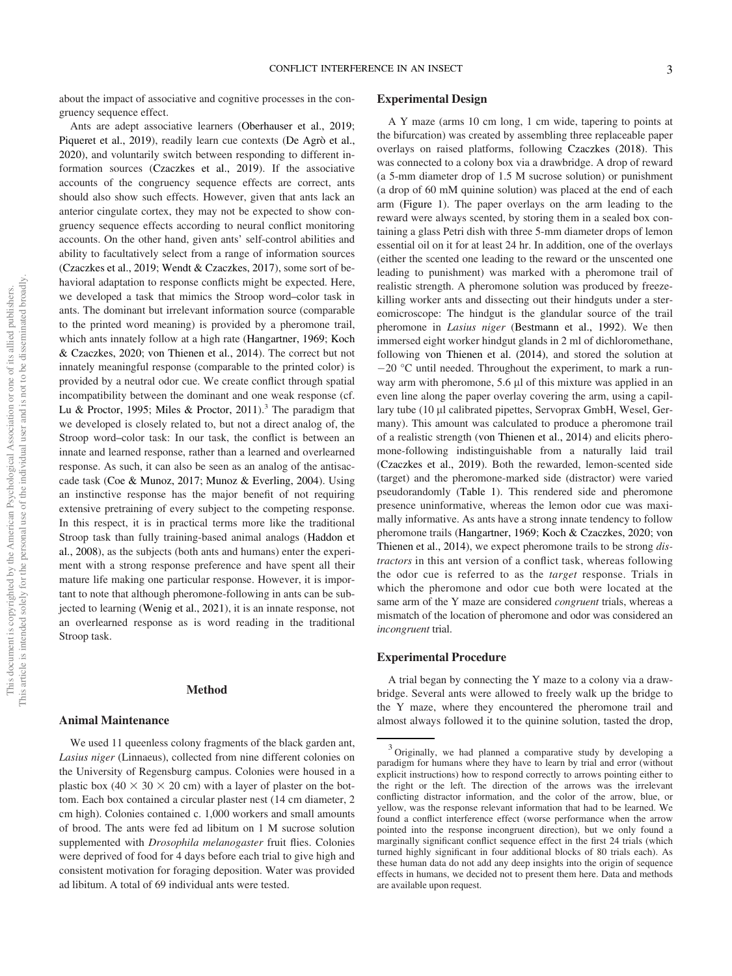about the impact of associative and cognitive processes in the congruency sequence effect.

Ants are adept associative learners (Oberhauser et al., 2019; Piqueret et al., 2019), readily learn cue contexts (De Agrò et al., 2020), and voluntarily switch between responding to different information sources (Czaczkes et al., 2019). If the associative accounts of the congruency sequence effects are correct, ants should also show such effects. However, given that ants lack an anterior cingulate cortex, they may not be expected to show congruency sequence effects according to neural conflict monitoring accounts. On the other hand, given ants' self-control abilities and ability to facultatively select from a range of information sources (Czaczkes et al., 2019; Wendt & Czaczkes, 2017), some sort of behavioral adaptation to response conflicts might be expected. Here, we developed a task that mimics the Stroop word–color task in ants. The dominant but irrelevant information source (comparable to the printed word meaning) is provided by a pheromone trail, which ants innately follow at a high rate (Hangartner, 1969; Koch & Czaczkes, 2020; von Thienen et al., 2014). The correct but not innately meaningful response (comparable to the printed color) is provided by a neutral odor cue. We create conflict through spatial incompatibility between the dominant and one weak response (cf. Lu & Proctor, 1995; Miles & Proctor, 2011).<sup>3</sup> The paradigm that we developed is closely related to, but not a direct analog of, the Stroop word–color task: In our task, the conflict is between an innate and learned response, rather than a learned and overlearned response. As such, it can also be seen as an analog of the antisaccade task (Coe & Munoz, 2017; Munoz & Everling, 2004). Using an instinctive response has the major benefit of not requiring extensive pretraining of every subject to the competing response. In this respect, it is in practical terms more like the traditional Stroop task than fully training-based animal analogs (Haddon et al., 2008), as the subjects (both ants and humans) enter the experiment with a strong response preference and have spent all their mature life making one particular response. However, it is important to note that although pheromone-following in ants can be subjected to learning (Wenig et al., 2021), it is an innate response, not an overlearned response as is word reading in the traditional Stroop task.

#### Method

#### Animal Maintenance

We used 11 queenless colony fragments of the black garden ant, Lasius niger (Linnaeus), collected from nine different colonies on the University of Regensburg campus. Colonies were housed in a plastic box (40  $\times$  30  $\times$  20 cm) with a layer of plaster on the bottom. Each box contained a circular plaster nest (14 cm diameter, 2 cm high). Colonies contained c. 1,000 workers and small amounts of brood. The ants were fed ad libitum on 1 M sucrose solution supplemented with *Drosophila melanogaster* fruit flies. Colonies were deprived of food for 4 days before each trial to give high and consistent motivation for foraging deposition. Water was provided ad libitum. A total of 69 individual ants were tested.

#### Experimental Design

A Y maze (arms 10 cm long, 1 cm wide, tapering to points at the bifurcation) was created by assembling three replaceable paper overlays on raised platforms, following Czaczkes (2018). This was connected to a colony box via a drawbridge. A drop of reward (a 5-mm diameter drop of 1.5 M sucrose solution) or punishment (a drop of 60 mM quinine solution) was placed at the end of each arm (Figure 1). The paper overlays on the arm leading to the reward were always scented, by storing them in a sealed box containing a glass Petri dish with three 5-mm diameter drops of lemon essential oil on it for at least 24 hr. In addition, one of the overlays (either the scented one leading to the reward or the unscented one leading to punishment) was marked with a pheromone trail of realistic strength. A pheromone solution was produced by freezekilling worker ants and dissecting out their hindguts under a stereomicroscope: The hindgut is the glandular source of the trail pheromone in *Lasius niger* (Bestmann et al., 1992). We then immersed eight worker hindgut glands in 2 ml of dichloromethane, following von Thienen et al. (2014), and stored the solution at  $-20$  °C until needed. Throughout the experiment, to mark a runway arm with pheromone, 5.6 µl of this mixture was applied in an even line along the paper overlay covering the arm, using a capillary tube (10 µl calibrated pipettes, Servoprax GmbH, Wesel, Germany). This amount was calculated to produce a pheromone trail of a realistic strength (von Thienen et al., 2014) and elicits pheromone-following indistinguishable from a naturally laid trail (Czaczkes et al., 2019). Both the rewarded, lemon-scented side (target) and the pheromone-marked side (distractor) were varied pseudorandomly [\(Table 1\)](#page-5-0). This rendered side and pheromone presence uninformative, whereas the lemon odor cue was maximally informative. As ants have a strong innate tendency to follow pheromone trails (Hangartner, 1969; Koch & Czaczkes, 2020; von Thienen et al., 2014), we expect pheromone trails to be strong *dis*tractors in this ant version of a conflict task, whereas following the odor cue is referred to as the target response. Trials in which the pheromone and odor cue both were located at the same arm of the Y maze are considered congruent trials, whereas a mismatch of the location of pheromone and odor was considered an incongruent trial.

#### Experimental Procedure

A trial began by connecting the Y maze to a colony via a drawbridge. Several ants were allowed to freely walk up the bridge to the Y maze, where they encountered the pheromone trail and almost always followed it to the quinine solution, tasted the drop,

<sup>&</sup>lt;sup>3</sup> Originally, we had planned a comparative study by developing a paradigm for humans where they have to learn by trial and error (without explicit instructions) how to respond correctly to arrows pointing either to the right or the left. The direction of the arrows was the irrelevant conflicting distractor information, and the color of the arrow, blue, or yellow, was the response relevant information that had to be learned. We found a conflict interference effect (worse performance when the arrow pointed into the response incongruent direction), but we only found a marginally significant conflict sequence effect in the first 24 trials (which turned highly significant in four additional blocks of 80 trials each). As these human data do not add any deep insights into the origin of sequence effects in humans, we decided not to present them here. Data and methods are available upon request.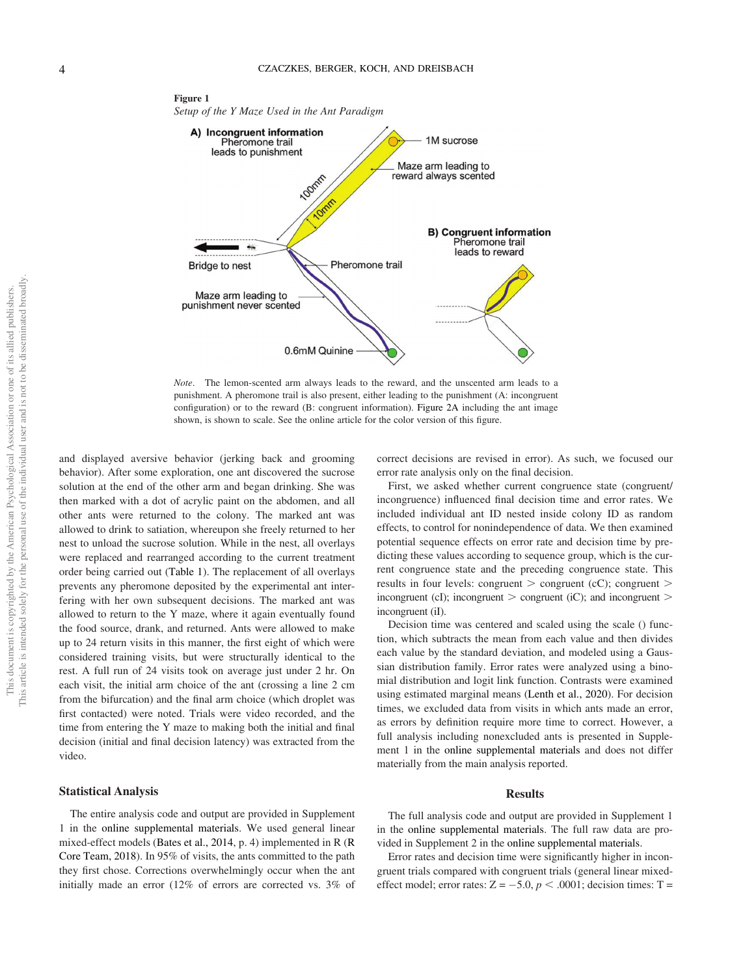

Note. The lemon-scented arm always leads to the reward, and the unscented arm leads to a punishment. A pheromone trail is also present, either leading to the punishment (A: incongruent configuration) or to the reward (B: congruent information). Figure 2A including the ant image shown, is shown to scale. See the online article for the color version of this figure.

and displayed aversive behavior (jerking back and grooming behavior). After some exploration, one ant discovered the sucrose solution at the end of the other arm and began drinking. She was then marked with a dot of acrylic paint on the abdomen, and all other ants were returned to the colony. The marked ant was allowed to drink to satiation, whereupon she freely returned to her nest to unload the sucrose solution. While in the nest, all overlays were replaced and rearranged according to the current treatment order being carried out [\(Table 1\)](#page-5-0). The replacement of all overlays prevents any pheromone deposited by the experimental ant interfering with her own subsequent decisions. The marked ant was allowed to return to the Y maze, where it again eventually found the food source, drank, and returned. Ants were allowed to make up to 24 return visits in this manner, the first eight of which were considered training visits, but were structurally identical to the rest. A full run of 24 visits took on average just under 2 hr. On each visit, the initial arm choice of the ant (crossing a line 2 cm from the bifurcation) and the final arm choice (which droplet was first contacted) were noted. Trials were video recorded, and the time from entering the Y maze to making both the initial and final decision (initial and final decision latency) was extracted from the video.

#### Statistical Analysis

The entire analysis code and output are provided in Supplement 1 in the [online supplemental materials.](https://doi.org/10.1037/com0000294.supp) We used general linear mixed-effect models (Bates et al., 2014, p. 4) implemented in R (R Core Team, 2018). In 95% of visits, the ants committed to the path they first chose. Corrections overwhelmingly occur when the ant initially made an error (12% of errors are corrected vs. 3% of

correct decisions are revised in error). As such, we focused our error rate analysis only on the final decision.

First, we asked whether current congruence state (congruent/ incongruence) influenced final decision time and error rates. We included individual ant ID nested inside colony ID as random effects, to control for nonindependence of data. We then examined potential sequence effects on error rate and decision time by predicting these values according to sequence group, which is the current congruence state and the preceding congruence state. This results in four levels: congruent  $>$  congruent  $\langle cC \rangle$ ; congruent  $>$ incongruent (cI); incongruent  $>$  congruent (iC); and incongruent  $>$ incongruent (iI).

Decision time was centered and scaled using the scale () function, which subtracts the mean from each value and then divides each value by the standard deviation, and modeled using a Gaussian distribution family. Error rates were analyzed using a binomial distribution and logit link function. Contrasts were examined using estimated marginal means (Lenth et al., 2020). For decision times, we excluded data from visits in which ants made an error, as errors by definition require more time to correct. However, a full analysis including nonexcluded ants is presented in Supplement 1 in the [online supplemental materials](https://doi.org/10.1037/com0000294.supp) and does not differ materially from the main analysis reported.

#### Results

The full analysis code and output are provided in Supplement 1 in the [online supplemental materials](https://doi.org/10.1037/com0000294.supp). The full raw data are provided in Supplement 2 in the [online supplemental materials](https://doi.org/10.1037/com0000294.supp).

Error rates and decision time were significantly higher in incongruent trials compared with congruent trials (general linear mixedeffect model; error rates:  $Z = -5.0, p < .0001$ ; decision times: T =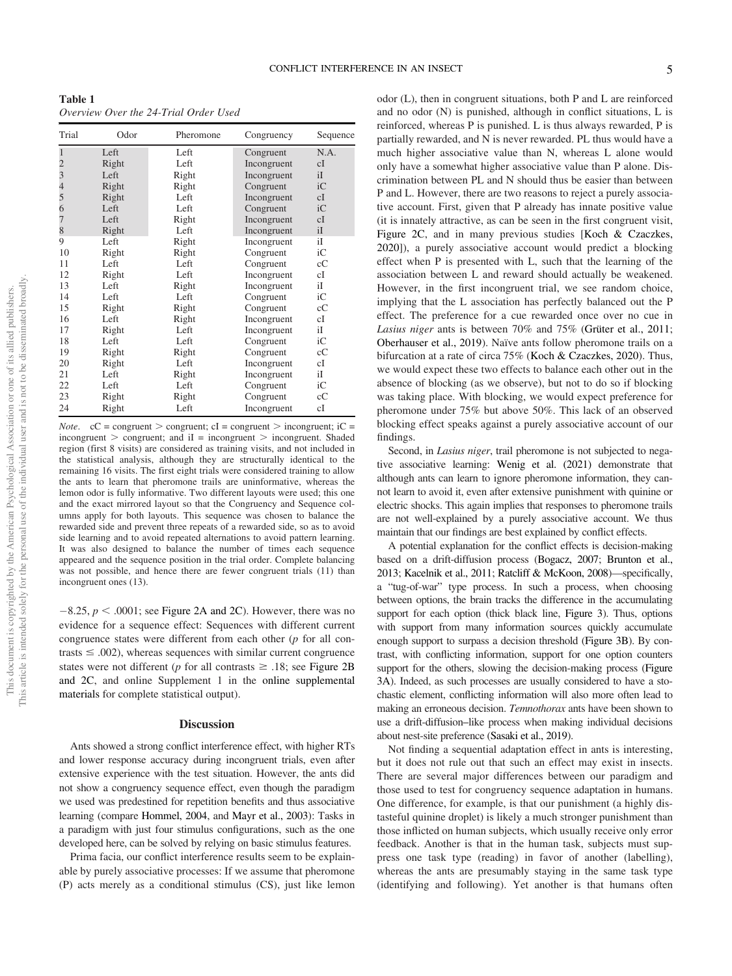<span id="page-5-0"></span>Table 1 Overview Over the 24-Trial Order Used

| Trial                                      | Odor  | Pheromone | Congruency  | Sequence |
|--------------------------------------------|-------|-----------|-------------|----------|
| $\mathbf{1}$                               | Left  | Left      | Congruent   | N.A.     |
|                                            | Right | Left      | Incongruent | cI       |
| $\begin{array}{c} 2 \\ 3 \\ 4 \end{array}$ | Left  | Right     | Incongruent | iI       |
|                                            | Right | Right     | Congruent   | iC       |
| 5                                          | Right | Left      | Incongruent | cI       |
| $\overline{6}$                             | Left  | Left      | Congruent   | iC       |
| 7                                          | Left  | Right     | Incongruent | cI       |
| 8                                          | Right | Left      | Incongruent | iI       |
| 9                                          | Left  | Right     | Incongruent | iI       |
| 10                                         | Right | Right     | Congruent   | iС       |
| 11                                         | Left  | Left      | Congruent   | cC       |
| 12                                         | Right | Left      | Incongruent | сI       |
| 13                                         | Left  | Right     | Incongruent | iI       |
| 14                                         | Left  | Left      | Congruent   | iС       |
| 15                                         | Right | Right     | Congruent   | cC       |
| 16                                         | Left  | Right     | Incongruent | cI       |
| 17                                         | Right | Left      | Incongruent | iI       |
| 18                                         | Left  | Left      | Congruent   | iC       |
| 19                                         | Right | Right     | Congruent   | cC       |
| 20                                         | Right | Left      | Incongruent | сI       |
| 21                                         | Left  | Right     | Incongruent | iI       |
| 22                                         | Left  | Left      | Congruent   | iС       |
| 23                                         | Right | Right     | Congruent   | cC       |
| 24                                         | Right | Left      | Incongruent | cI       |

*Note.*  $cC =$  congruent  $>$  congruent;  $cI =$  congruent  $>$  incongruent;  $iC =$ incongruent  $>$  congruent; and iI = incongruent  $>$  incongruent. Shaded region (first 8 visits) are considered as training visits, and not included in the statistical analysis, although they are structurally identical to the remaining 16 visits. The first eight trials were considered training to allow the ants to learn that pheromone trails are uninformative, whereas the lemon odor is fully informative. Two different layouts were used; this one and the exact mirrored layout so that the Congruency and Sequence columns apply for both layouts. This sequence was chosen to balance the rewarded side and prevent three repeats of a rewarded side, so as to avoid side learning and to avoid repeated alternations to avoid pattern learning. It was also designed to balance the number of times each sequence appeared and the sequence position in the trial order. Complete balancing was not possible, and hence there are fewer congruent trials (11) than incongruent ones (13).

 $-8.25$ ,  $p < .0001$ ; see Figure 2A and 2C). However, there was no evidence for a sequence effect: Sequences with different current congruence states were different from each other  $(p$  for all contrasts  $\leq$  .002), whereas sequences with similar current congruence states were not different (p for all contrasts  $\geq$  .18; see Figure 2B and 2C, and online Supplement 1 in the [online supplemental](https://doi.org/10.1037/com0000294.supp) [materials](https://doi.org/10.1037/com0000294.supp) for complete statistical output).

#### **Discussion**

Ants showed a strong conflict interference effect, with higher RTs and lower response accuracy during incongruent trials, even after extensive experience with the test situation. However, the ants did not show a congruency sequence effect, even though the paradigm we used was predestined for repetition benefits and thus associative learning (compare Hommel, 2004, and Mayr et al., 2003): Tasks in a paradigm with just four stimulus configurations, such as the one developed here, can be solved by relying on basic stimulus features.

Prima facia, our conflict interference results seem to be explainable by purely associative processes: If we assume that pheromone (P) acts merely as a conditional stimulus (CS), just like lemon odor (L), then in congruent situations, both P and L are reinforced and no odor (N) is punished, although in conflict situations, L is reinforced, whereas P is punished. L is thus always rewarded, P is partially rewarded, and N is never rewarded. PL thus would have a much higher associative value than N, whereas L alone would only have a somewhat higher associative value than P alone. Discrimination between PL and N should thus be easier than between P and L. However, there are two reasons to reject a purely associative account. First, given that P already has innate positive value (it is innately attractive, as can be seen in the first congruent visit, Figure 2C, and in many previous studies [Koch & Czaczkes, 2020]), a purely associative account would predict a blocking effect when P is presented with L, such that the learning of the association between L and reward should actually be weakened. However, in the first incongruent trial, we see random choice, implying that the L association has perfectly balanced out the P effect. The preference for a cue rewarded once over no cue in Lasius niger ants is between 70% and 75% (Grüter et al., 2011; Oberhauser et al., 2019). Naïve ants follow pheromone trails on a bifurcation at a rate of circa 75% (Koch & Czaczkes, 2020). Thus, we would expect these two effects to balance each other out in the absence of blocking (as we observe), but not to do so if blocking was taking place. With blocking, we would expect preference for pheromone under 75% but above 50%. This lack of an observed blocking effect speaks against a purely associative account of our findings.

Second, in *Lasius niger*, trail pheromone is not subjected to negative associative learning: Wenig et al. (2021) demonstrate that although ants can learn to ignore pheromone information, they cannot learn to avoid it, even after extensive punishment with quinine or electric shocks. This again implies that responses to pheromone trails are not well-explained by a purely associative account. We thus maintain that our findings are best explained by conflict effects.

A potential explanation for the conflict effects is decision-making based on a drift-diffusion process (Bogacz, 2007; Brunton et al., 2013; Kacelnik et al., 2011; Ratcliff & McKoon, 2008)—specifically, a "tug-of-war" type process. In such a process, when choosing between options, the brain tracks the difference in the accumulating support for each option (thick black line, Figure 3). Thus, options with support from many information sources quickly accumulate enough support to surpass a decision threshold (Figure 3B). By contrast, with conflicting information, support for one option counters support for the others, slowing the decision-making process (Figure 3A). Indeed, as such processes are usually considered to have a stochastic element, conflicting information will also more often lead to making an erroneous decision. Temnothorax ants have been shown to use a drift-diffusion–like process when making individual decisions about nest-site preference (Sasaki et al., 2019).

Not finding a sequential adaptation effect in ants is interesting, but it does not rule out that such an effect may exist in insects. There are several major differences between our paradigm and those used to test for congruency sequence adaptation in humans. One difference, for example, is that our punishment (a highly distasteful quinine droplet) is likely a much stronger punishment than those inflicted on human subjects, which usually receive only error feedback. Another is that in the human task, subjects must suppress one task type (reading) in favor of another (labelling), whereas the ants are presumably staying in the same task type (identifying and following). Yet another is that humans often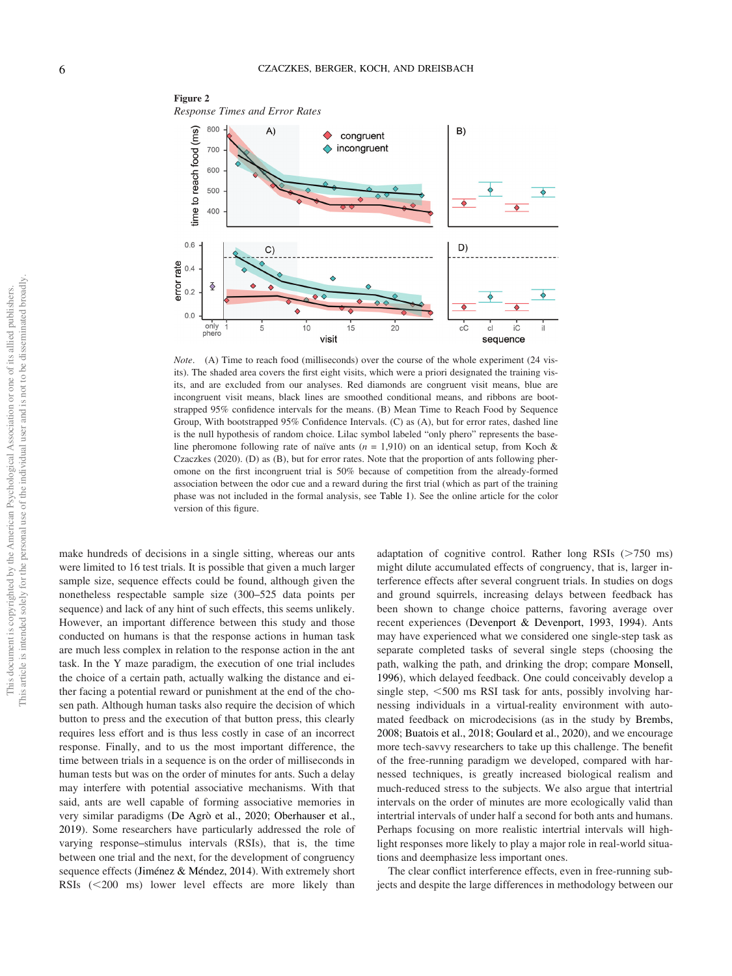

Note. (A) Time to reach food (milliseconds) over the course of the whole experiment (24 visits). The shaded area covers the first eight visits, which were a priori designated the training visits, and are excluded from our analyses. Red diamonds are congruent visit means, blue are incongruent visit means, black lines are smoothed conditional means, and ribbons are bootstrapped 95% confidence intervals for the means. (B) Mean Time to Reach Food by Sequence Group, With bootstrapped 95% Confidence Intervals. (C) as (A), but for error rates, dashed line is the null hypothesis of random choice. Lilac symbol labeled "only phero" represents the baseline pheromone following rate of naïve ants ( $n = 1,910$ ) on an identical setup, from Koch & Czaczkes (2020). (D) as (B), but for error rates. Note that the proportion of ants following pheromone on the first incongruent trial is 50% because of competition from the already-formed association between the odor cue and a reward during the first trial (which as part of the training phase was not included in the formal analysis, see [Table 1](#page-5-0)). See the online article for the color version of this figure.

make hundreds of decisions in a single sitting, whereas our ants were limited to 16 test trials. It is possible that given a much larger sample size, sequence effects could be found, although given the nonetheless respectable sample size (300–525 data points per sequence) and lack of any hint of such effects, this seems unlikely. However, an important difference between this study and those conducted on humans is that the response actions in human task are much less complex in relation to the response action in the ant task. In the Y maze paradigm, the execution of one trial includes the choice of a certain path, actually walking the distance and either facing a potential reward or punishment at the end of the chosen path. Although human tasks also require the decision of which button to press and the execution of that button press, this clearly requires less effort and is thus less costly in case of an incorrect response. Finally, and to us the most important difference, the time between trials in a sequence is on the order of milliseconds in human tests but was on the order of minutes for ants. Such a delay may interfere with potential associative mechanisms. With that said, ants are well capable of forming associative memories in very similar paradigms (De Agrò et al., 2020; Oberhauser et al., 2019). Some researchers have particularly addressed the role of varying response–stimulus intervals (RSIs), that is, the time between one trial and the next, for the development of congruency sequence effects (Jiménez & Méndez, 2014). With extremely short RSIs  $(<200$  ms) lower level effects are more likely than adaptation of cognitive control. Rather long RSIs  $(>\,750$  ms) might dilute accumulated effects of congruency, that is, larger interference effects after several congruent trials. In studies on dogs and ground squirrels, increasing delays between feedback has been shown to change choice patterns, favoring average over recent experiences (Devenport & Devenport, 1993, 1994). Ants may have experienced what we considered one single-step task as separate completed tasks of several single steps (choosing the path, walking the path, and drinking the drop; compare Monsell, 1996), which delayed feedback. One could conceivably develop a single step,  $<$  500 ms RSI task for ants, possibly involving harnessing individuals in a virtual-reality environment with automated feedback on microdecisions (as in the study by Brembs, 2008; Buatois et al., 2018; Goulard et al., 2020), and we encourage more tech-savvy researchers to take up this challenge. The benefit of the free-running paradigm we developed, compared with harnessed techniques, is greatly increased biological realism and much-reduced stress to the subjects. We also argue that intertrial intervals on the order of minutes are more ecologically valid than intertrial intervals of under half a second for both ants and humans. Perhaps focusing on more realistic intertrial intervals will highlight responses more likely to play a major role in real-world situations and deemphasize less important ones.

The clear conflict interference effects, even in free-running subjects and despite the large differences in methodology between our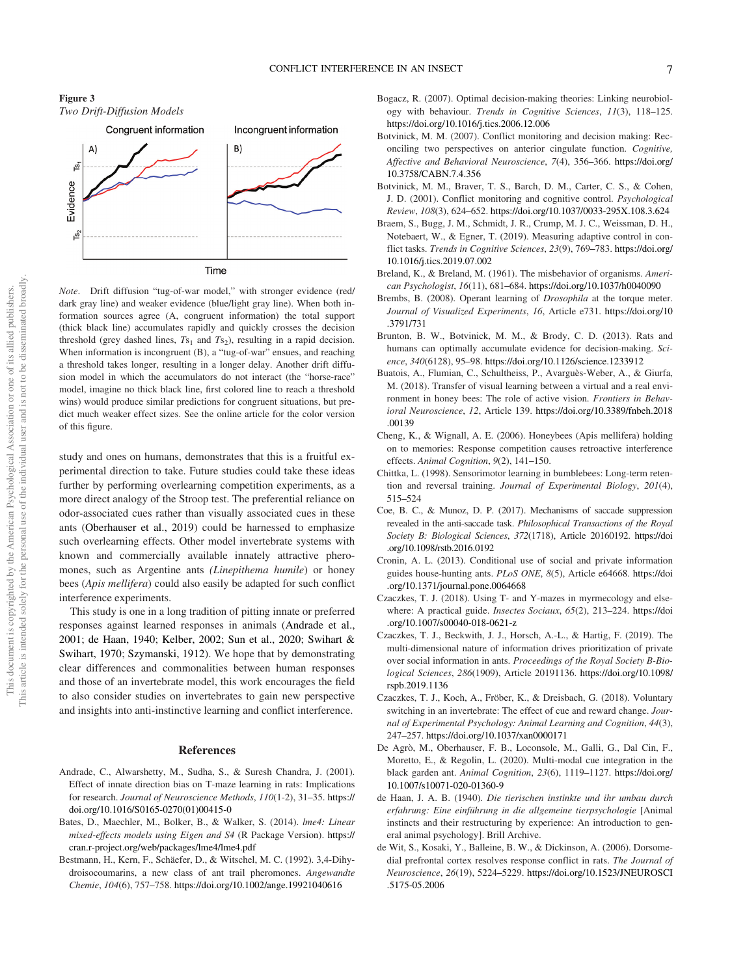



Note. Drift diffusion "tug-of-war model," with stronger evidence (red/ dark gray line) and weaker evidence (blue/light gray line). When both information sources agree (A, congruent information) the total support (thick black line) accumulates rapidly and quickly crosses the decision threshold (grey dashed lines,  $Ts_1$  and  $Ts_2$ ), resulting in a rapid decision. When information is incongruent (B), a "tug-of-war" ensues, and reaching a threshold takes longer, resulting in a longer delay. Another drift diffusion model in which the accumulators do not interact (the "horse-race" model, imagine no thick black line, first colored line to reach a threshold wins) would produce similar predictions for congruent situations, but predict much weaker effect sizes. See the online article for the color version of this figure.

study and ones on humans, demonstrates that this is a fruitful experimental direction to take. Future studies could take these ideas further by performing overlearning competition experiments, as a more direct analogy of the Stroop test. The preferential reliance on odor-associated cues rather than visually associated cues in these ants (Oberhauser et al., 2019) could be harnessed to emphasize such overlearning effects. Other model invertebrate systems with known and commercially available innately attractive pheromones, such as Argentine ants (Linepithema humile) or honey bees (Apis mellifera) could also easily be adapted for such conflict interference experiments.

This study is one in a long tradition of pitting innate or preferred responses against learned responses in animals (Andrade et al., 2001; de Haan, 1940; Kelber, 2002; Sun et al., 2020; Swihart & Swihart, 1970; Szymanski, 1912). We hope that by demonstrating clear differences and commonalities between human responses and those of an invertebrate model, this work encourages the field to also consider studies on invertebrates to gain new perspective and insights into anti-instinctive learning and conflict interference.

#### References

- Andrade, C., Alwarshetty, M., Sudha, S., & Suresh Chandra, J. (2001). Effect of innate direction bias on T-maze learning in rats: Implications for research. Journal of Neuroscience Methods, 110(1-2), 31–35. [https://](https://doi.org/10.1016/S0165-0270(01)00415-0) [doi.org/10.1016/S0165-0270\(01\)00415-0](https://doi.org/10.1016/S0165-0270(01)00415-0)
- Bates, D., Maechler, M., Bolker, B., & Walker, S. (2014). lme4: Linear mixed-effects models using Eigen and S4 (R Package Version). [https://](https://cran.r-project.org/web/packages/lme4/lme4.pdf) [cran.r-project.org/web/packages/lme4/lme4.pdf](https://cran.r-project.org/web/packages/lme4/lme4.pdf)
- Bestmann, H., Kern, F., Schäefer, D., & Witschel, M. C. (1992). 3,4-Dihydroisocoumarins, a new class of ant trail pheromones. Angewandte Chemie, 104(6), 757–758. <https://doi.org/10.1002/ange.19921040616>
- Bogacz, R. (2007). Optimal decision-making theories: Linking neurobiology with behaviour. Trends in Cognitive Sciences, 11(3), 118–125. <https://doi.org/10.1016/j.tics.2006.12.006>
- Botvinick, M. M. (2007). Conflict monitoring and decision making: Reconciling two perspectives on anterior cingulate function. Cognitive, Affective and Behavioral Neuroscience, 7(4), 356–366. [https://doi.org/](https://doi.org/10.3758/CABN.7.4.356) [10.3758/CABN.7.4.356](https://doi.org/10.3758/CABN.7.4.356)
- Botvinick, M. M., Braver, T. S., Barch, D. M., Carter, C. S., & Cohen, J. D. (2001). Conflict monitoring and cognitive control. Psychological Review, 108(3), 624–652. <https://doi.org/10.1037/0033-295X.108.3.624>
- Braem, S., Bugg, J. M., Schmidt, J. R., Crump, M. J. C., Weissman, D. H., Notebaert, W., & Egner, T. (2019). Measuring adaptive control in conflict tasks. Trends in Cognitive Sciences, 23(9), 769–783. [https://doi.org/](https://doi.org/10.1016/j.tics.2019.07.002) [10.1016/j.tics.2019.07.002](https://doi.org/10.1016/j.tics.2019.07.002)
- Breland, K., & Breland, M. (1961). The misbehavior of organisms. American Psychologist, 16(11), 681–684. <https://doi.org/10.1037/h0040090>
- Brembs, B. (2008). Operant learning of Drosophila at the torque meter. Journal of Visualized Experiments, 16, Article e731. [https://doi.org/10](https://doi.org/10.3791/731) [.3791/731](https://doi.org/10.3791/731)
- Brunton, B. W., Botvinick, M. M., & Brody, C. D. (2013). Rats and humans can optimally accumulate evidence for decision-making. Science, 340(6128), 95–98. <https://doi.org/10.1126/science.1233912>
- Buatois, A., Flumian, C., Schultheiss, P., Avarguès-Weber, A., & Giurfa, M. (2018). Transfer of visual learning between a virtual and a real environment in honey bees: The role of active vision. Frontiers in Behavioral Neuroscience, 12, Article 139. [https://doi.org/10.3389/fnbeh.2018](https://doi.org/10.3389/fnbeh.2018.00139) [.00139](https://doi.org/10.3389/fnbeh.2018.00139)
- Cheng, K., & Wignall, A. E. (2006). Honeybees (Apis mellifera) holding on to memories: Response competition causes retroactive interference effects. Animal Cognition, 9(2), 141–150.
- Chittka, L. (1998). Sensorimotor learning in bumblebees: Long-term retention and reversal training. Journal of Experimental Biology, 201(4), 515–524
- Coe, B. C., & Munoz, D. P. (2017). Mechanisms of saccade suppression revealed in the anti-saccade task. Philosophical Transactions of the Royal Society B: Biological Sciences, 372(1718), Article 20160192. [https://doi](https://doi.org/10.1098/rstb.2016.0192) [.org/10.1098/rstb.2016.0192](https://doi.org/10.1098/rstb.2016.0192)
- Cronin, A. L. (2013). Conditional use of social and private information guides house-hunting ants. PLoS ONE, 8(5), Article e64668. [https://doi](https://doi.org/10.1371/journal.pone.0064668) [.org/10.1371/journal.pone.0064668](https://doi.org/10.1371/journal.pone.0064668)
- Czaczkes, T. J. (2018). Using T- and Y-mazes in myrmecology and elsewhere: A practical guide. Insectes Sociaux, 65(2), 213-224. [https://doi](https://doi.org/10.1007/s00040-018-0621-z) [.org/10.1007/s00040-018-0621-z](https://doi.org/10.1007/s00040-018-0621-z)
- Czaczkes, T. J., Beckwith, J. J., Horsch, A.-L., & Hartig, F. (2019). The multi-dimensional nature of information drives prioritization of private over social information in ants. Proceedings of the Royal Society B-Biological Sciences, 286(1909), Article 20191136. [https://doi.org/10.1098/](https://doi.org/10.1098/rspb.2019.1136) [rspb.2019.1136](https://doi.org/10.1098/rspb.2019.1136)
- Czaczkes, T. J., Koch, A., Fröber, K., & Dreisbach, G. (2018). Voluntary switching in an invertebrate: The effect of cue and reward change. Journal of Experimental Psychology: Animal Learning and Cognition, 44(3), 247–257. <https://doi.org/10.1037/xan0000171>
- De Agrò, M., Oberhauser, F. B., Loconsole, M., Galli, G., Dal Cin, F., Moretto, E., & Regolin, L. (2020). Multi-modal cue integration in the black garden ant. Animal Cognition, 23(6), 1119–1127. [https://doi.org/](https://doi.org/10.1007/s10071-020-01360-9) [10.1007/s10071-020-01360-9](https://doi.org/10.1007/s10071-020-01360-9)
- de Haan, J. A. B. (1940). Die tierischen instinkte und ihr umbau durch erfahrung: Eine einführung in die allgemeine tierpsychologie [Animal instincts and their restructuring by experience: An introduction to general animal psychology]. Brill Archive.
- de Wit, S., Kosaki, Y., Balleine, B. W., & Dickinson, A. (2006). Dorsomedial prefrontal cortex resolves response conflict in rats. The Journal of Neuroscience, 26(19), 5224–5229. [https://doi.org/10.1523/JNEUROSCI](https://doi.org/10.1523/JNEUROSCI.5175-05.2006) [.5175-05.2006](https://doi.org/10.1523/JNEUROSCI.5175-05.2006)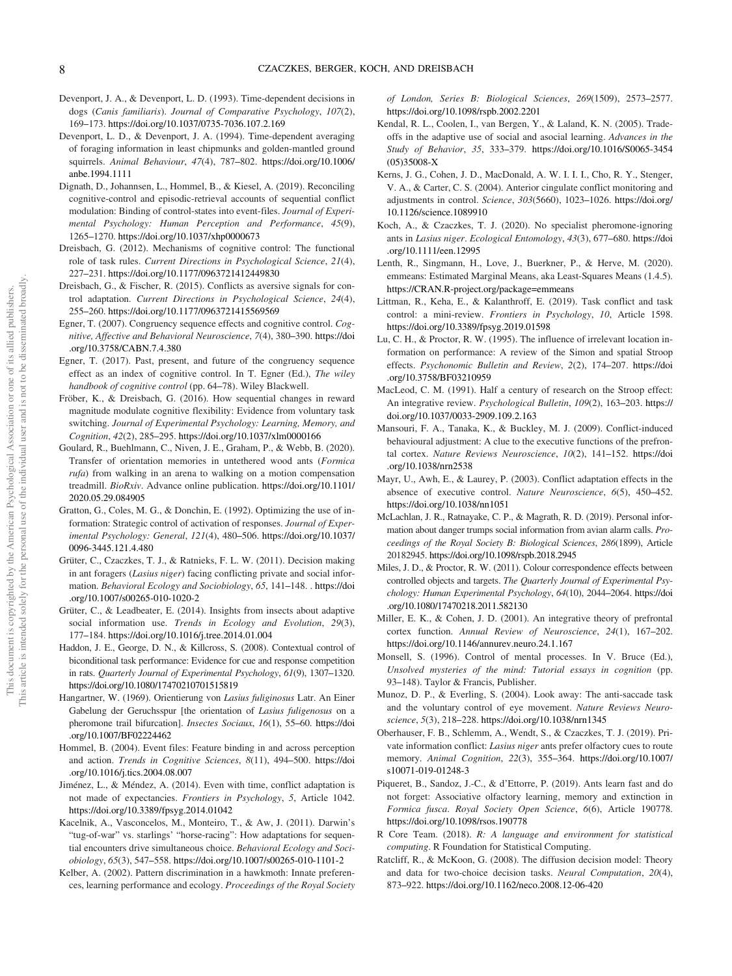- Devenport, J. A., & Devenport, L. D. (1993). Time-dependent decisions in dogs (Canis familiaris). Journal of Comparative Psychology, 107(2), 169–173. <https://doi.org/10.1037/0735-7036.107.2.169>
- Devenport, L. D., & Devenport, J. A. (1994). Time-dependent averaging of foraging information in least chipmunks and golden-mantled ground squirrels. Animal Behaviour, 47(4), 787–802. [https://doi.org/10.1006/](https://doi.org/10.1006/anbe.1994.1111) [anbe.1994.1111](https://doi.org/10.1006/anbe.1994.1111)
- Dignath, D., Johannsen, L., Hommel, B., & Kiesel, A. (2019). Reconciling cognitive-control and episodic-retrieval accounts of sequential conflict modulation: Binding of control-states into event-files. Journal of Experimental Psychology: Human Perception and Performance, 45(9), 1265–1270. <https://doi.org/10.1037/xhp0000673>
- Dreisbach, G. (2012). Mechanisms of cognitive control: The functional role of task rules. Current Directions in Psychological Science, 21(4), 227–231. <https://doi.org/10.1177/0963721412449830>
- Dreisbach, G., & Fischer, R. (2015). Conflicts as aversive signals for control adaptation. Current Directions in Psychological Science, 24(4), 255–260. <https://doi.org/10.1177/0963721415569569>
- Egner, T. (2007). Congruency sequence effects and cognitive control. Cognitive, Affective and Behavioral Neuroscience, 7(4), 380–390. [https://doi](https://doi.org/10.3758/CABN.7.4.380) [.org/10.3758/CABN.7.4.380](https://doi.org/10.3758/CABN.7.4.380)
- Egner, T. (2017). Past, present, and future of the congruency sequence effect as an index of cognitive control. In T. Egner (Ed.), The wiley handbook of cognitive control (pp. 64–78). Wiley Blackwell.
- Fröber, K., & Dreisbach, G. (2016). How sequential changes in reward magnitude modulate cognitive flexibility: Evidence from voluntary task switching. Journal of Experimental Psychology: Learning, Memory, and Cognition, 42(2), 285–295. <https://doi.org/10.1037/xlm0000166>
- Goulard, R., Buehlmann, C., Niven, J. E., Graham, P., & Webb, B. (2020). Transfer of orientation memories in untethered wood ants (Formica rufa) from walking in an arena to walking on a motion compensation treadmill. BioRxiv. Advance online publication. [https://doi.org/10.1101/](https://doi.org/10.1101/2020.05.29.084905) [2020.05.29.084905](https://doi.org/10.1101/2020.05.29.084905)
- Gratton, G., Coles, M. G., & Donchin, E. (1992). Optimizing the use of information: Strategic control of activation of responses. Journal of Experimental Psychology: General, 121(4), 480–506. [https://doi.org/10.1037/](https://doi.org/10.1037/0096-3445.121.4.480) [0096-3445.121.4.480](https://doi.org/10.1037/0096-3445.121.4.480)
- Grüter, C., Czaczkes, T. J., & Ratnieks, F. L. W. (2011). Decision making in ant foragers (Lasius niger) facing conflicting private and social information. Behavioral Ecology and Sociobiology, 65, 141–148. . [https://doi](https://doi.org/10.1007/s00265-010-1020-2) [.org/10.1007/s00265-010-1020-2](https://doi.org/10.1007/s00265-010-1020-2)
- Grüter, C., & Leadbeater, E. (2014). Insights from insects about adaptive social information use. Trends in Ecology and Evolution, 29(3), 177–184. <https://doi.org/10.1016/j.tree.2014.01.004>
- Haddon, J. E., George, D. N., & Killcross, S. (2008). Contextual control of biconditional task performance: Evidence for cue and response competition in rats. Quarterly Journal of Experimental Psychology, 61(9), 1307–1320. <https://doi.org/10.1080/17470210701515819>
- Hangartner, W. (1969). Orientierung von Lasius fuliginosus Latr. An Einer Gabelung der Geruchsspur [the orientation of Lasius fuligenosus on a pheromone trail bifurcation]. Insectes Sociaux, 16(1), 55–60. [https://doi](https://doi.org/10.1007/BF02224462) [.org/10.1007/BF02224462](https://doi.org/10.1007/BF02224462)
- Hommel, B. (2004). Event files: Feature binding in and across perception and action. Trends in Cognitive Sciences, 8(11), 494–500. [https://doi](https://doi.org/10.1016/j.tics.2004.08.007) [.org/10.1016/j.tics.2004.08.007](https://doi.org/10.1016/j.tics.2004.08.007)
- Jiménez, L., & Méndez, A. (2014). Even with time, conflict adaptation is not made of expectancies. Frontiers in Psychology, 5, Article 1042. <https://doi.org/10.3389/fpsyg.2014.01042>
- Kacelnik, A., Vasconcelos, M., Monteiro, T., & Aw, J. (2011). Darwin's "tug-of-war" vs. starlings' "horse-racing": How adaptations for sequential encounters drive simultaneous choice. Behavioral Ecology and Sociobiology, 65(3), 547–558. <https://doi.org/10.1007/s00265-010-1101-2>
- Kelber, A. (2002). Pattern discrimination in a hawkmoth: Innate preferences, learning performance and ecology. Proceedings of the Royal Society

of London, Series B: Biological Sciences, 269(1509), 2573–2577. <https://doi.org/10.1098/rspb.2002.2201>

- Kendal, R. L., Coolen, I., van Bergen, Y., & Laland, K. N. (2005). Tradeoffs in the adaptive use of social and asocial learning. Advances in the Study of Behavior, 35, 333–379. [https://doi.org/10.1016/S0065-3454](https://doi.org/10.1016/S0065-3454(05)35008-X) [\(05\)35008-X](https://doi.org/10.1016/S0065-3454(05)35008-X)
- Kerns, J. G., Cohen, J. D., MacDonald, A. W. I. I. I., Cho, R. Y., Stenger, V. A., & Carter, C. S. (2004). Anterior cingulate conflict monitoring and adjustments in control. Science, 303(5660), 1023–1026. [https://doi.org/](https://doi.org/10.1126/science.1089910) [10.1126/science.1089910](https://doi.org/10.1126/science.1089910)
- Koch, A., & Czaczkes, T. J. (2020). No specialist pheromone-ignoring ants in Lasius niger. Ecological Entomology, 43(3), 677–680. [https://doi](https://doi.org/10.1111/een.12995) [.org/10.1111/een.12995](https://doi.org/10.1111/een.12995)
- Lenth, R., Singmann, H., Love, J., Buerkner, P., & Herve, M. (2020). emmeans: Estimated Marginal Means, aka Least-Squares Means (1.4.5). <https://CRAN.R-project.org/package=emmeans>
- Littman, R., Keha, E., & Kalanthroff, E. (2019). Task conflict and task control: a mini-review. Frontiers in Psychology, 10, Article 1598. <https://doi.org/10.3389/fpsyg.2019.01598>
- Lu, C. H., & Proctor, R. W. (1995). The influence of irrelevant location information on performance: A review of the Simon and spatial Stroop effects. Psychonomic Bulletin and Review, 2(2), 174–207. [https://doi](https://doi.org/10.3758/BF03210959) [.org/10.3758/BF03210959](https://doi.org/10.3758/BF03210959)
- MacLeod, C. M. (1991). Half a century of research on the Stroop effect: An integrative review. Psychological Bulletin, 109(2), 163–203. [https://](https://doi.org/10.1037/0033-2909.109.2.163) [doi.org/10.1037/0033-2909.109.2.163](https://doi.org/10.1037/0033-2909.109.2.163)
- Mansouri, F. A., Tanaka, K., & Buckley, M. J. (2009). Conflict-induced behavioural adjustment: A clue to the executive functions of the prefrontal cortex. Nature Reviews Neuroscience, 10(2), 141–152. [https://doi](https://doi.org/10.1038/nrn2538) [.org/10.1038/nrn2538](https://doi.org/10.1038/nrn2538)
- Mayr, U., Awh, E., & Laurey, P. (2003). Conflict adaptation effects in the absence of executive control. Nature Neuroscience, 6(5), 450–452. <https://doi.org/10.1038/nn1051>
- McLachlan, J. R., Ratnayake, C. P., & Magrath, R. D. (2019). Personal information about danger trumps social information from avian alarm calls. Proceedings of the Royal Society B: Biological Sciences, 286(1899), Article 20182945. <https://doi.org/10.1098/rspb.2018.2945>
- Miles, J. D., & Proctor, R. W. (2011). Colour correspondence effects between controlled objects and targets. The Quarterly Journal of Experimental Psychology: Human Experimental Psychology, 64(10), 2044–2064. [https://doi](https://doi.org/10.1080/17470218.2011.582130) [.org/10.1080/17470218.2011.582130](https://doi.org/10.1080/17470218.2011.582130)
- Miller, E. K., & Cohen, J. D. (2001). An integrative theory of prefrontal cortex function. Annual Review of Neuroscience, 24(1), 167–202. <https://doi.org/10.1146/annurev.neuro.24.1.167>
- Monsell, S. (1996). Control of mental processes. In V. Bruce (Ed.), Unsolved mysteries of the mind: Tutorial essays in cognition (pp. 93–148). Taylor & Francis, Publisher.
- Munoz, D. P., & Everling, S. (2004). Look away: The anti-saccade task and the voluntary control of eye movement. Nature Reviews Neuroscience, 5(3), 218–228. <https://doi.org/10.1038/nrn1345>
- Oberhauser, F. B., Schlemm, A., Wendt, S., & Czaczkes, T. J. (2019). Private information conflict: Lasius niger ants prefer olfactory cues to route memory. Animal Cognition, 22(3), 355–364. [https://doi.org/10.1007/](https://doi.org/10.1007/s10071-019-01248-3) [s10071-019-01248-3](https://doi.org/10.1007/s10071-019-01248-3)
- Piqueret, B., Sandoz, J.-C., & d'Ettorre, P. (2019). Ants learn fast and do not forget: Associative olfactory learning, memory and extinction in Formica fusca. Royal Society Open Science, 6(6), Article 190778. <https://doi.org/10.1098/rsos.190778>
- R Core Team. (2018). R: A language and environment for statistical computing. R Foundation for Statistical Computing.
- Ratcliff, R., & McKoon, G. (2008). The diffusion decision model: Theory and data for two-choice decision tasks. Neural Computation, 20(4), 873–922. <https://doi.org/10.1162/neco.2008.12-06-420>